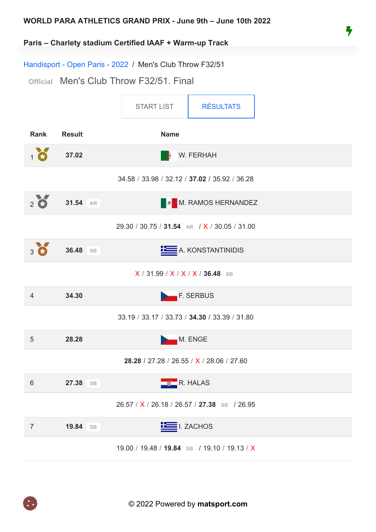

#### **Paris – Charlety stadium Certified IAAF + Warm-up Track**

Handisport - Open Paris - 2022 / Men's Club Throw F32/51

**Official** Men's Club Throw F32/51. Final

<span id="page-0-0"></span>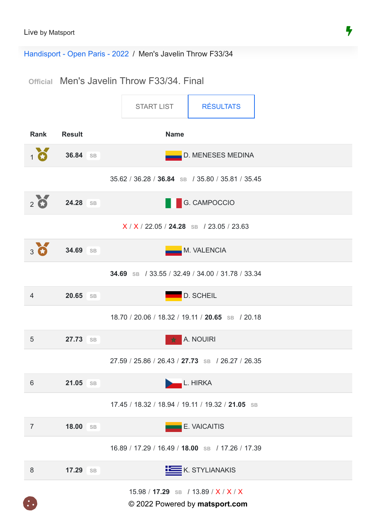Handisport - Open Paris - 2022 / Men's Javelin Throw F33/34

**Official** Men's Javelin Throw F33/34. Final

<span id="page-1-0"></span>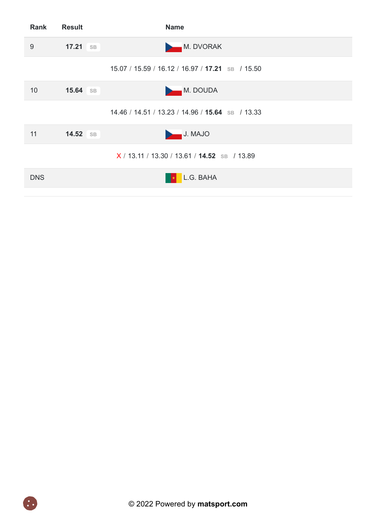| Rank       | <b>Result</b>   | <b>Name</b>                                      |
|------------|-----------------|--------------------------------------------------|
| 9          | $17.21$ SB      | M. DVORAK                                        |
|            |                 | 15.07 / 15.59 / 16.12 / 16.97 / 17.21 SB / 15.50 |
| 10         | <b>15.64</b> SB | <b>M. DOUDA</b><br>D.                            |
|            |                 | 14.46 / 14.51 / 13.23 / 14.96 / 15.64 SB / 13.33 |
| 11         | 14.52 SB        | J. MAJO                                          |
|            |                 | $X/13.11/13.30/13.61/14.52$ SB / 13.89           |
| <b>DNS</b> |                 | L.G. BAHA                                        |
|            |                 |                                                  |

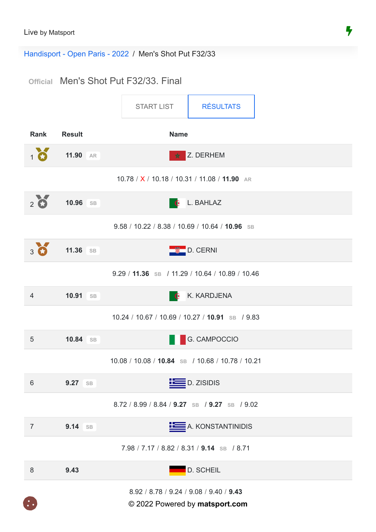Handisport - Open Paris - 2022 / Men's Shot Put F32/33

# **Official** Men's Shot Put F32/33. Final

<span id="page-3-0"></span>

© 2022 Powered by **matsport.com**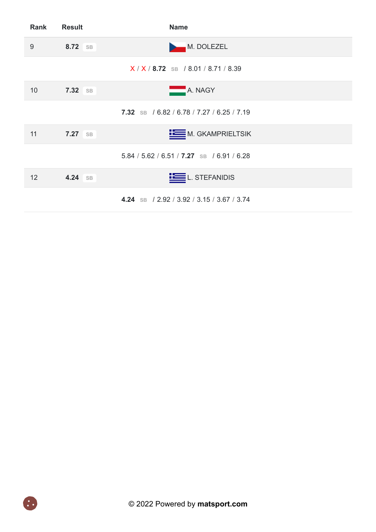| <b>Rank</b> | <b>Result</b>  | <b>Name</b>                                |  |
|-------------|----------------|--------------------------------------------|--|
| 9           | 8.72 SB        | <b>M. DOLEZEL</b><br>D                     |  |
|             |                | $X/X$ / 8.72 SB / 8.01 / 8.71 / 8.39       |  |
| 10          | 7.32 SB        | A. NAGY                                    |  |
|             |                | 7.32 SB / 6.82 / 6.78 / 7.27 / 6.25 / 7.19 |  |
| 11          | <b>7.27</b> SB | M. GKAMPRIELTSIK                           |  |
|             |                | 5.84 / 5.62 / 6.51 / 7.27 SB / 6.91 / 6.28 |  |
| 12          | 4.24 SB        | L. STEFANIDIS                              |  |
|             |                | 4.24 SB / 2.92 / 3.92 / 3.15 / 3.67 / 3.74 |  |

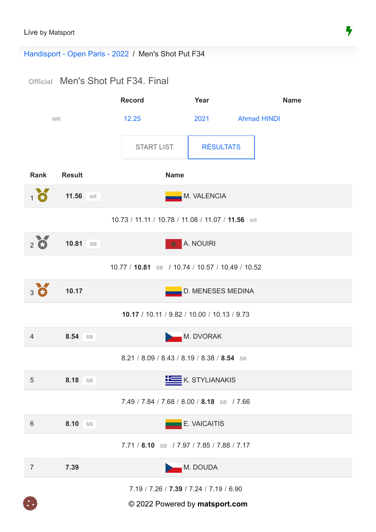Handisport - Open Paris - 2022 / Men's Shot Put F34

# **Official** Men's Shot Put F34. Final

<span id="page-5-0"></span>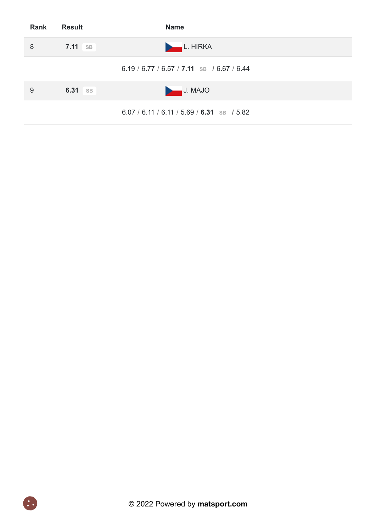| Rank | <b>Result</b>  | <b>Name</b>                                  |
|------|----------------|----------------------------------------------|
| 8    | <b>7.11</b> SB | L. HIRKA                                     |
|      |                | 6.19 / 6.77 / 6.57 / 7.11 SB / 6.67 / 6.44   |
| 9    | 6.31 SB        | J. MAJO                                      |
|      |                | $6.07 / 6.11 / 6.11 / 5.69 / 6.31$ SB / 5.82 |

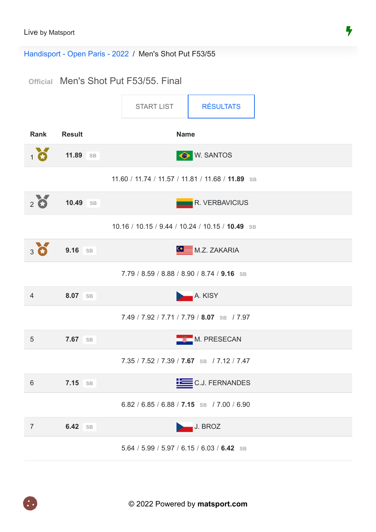Handisport - Open Paris - 2022 / Men's Shot Put F53/55

# **Official** Men's Shot Put F53/55. Final

<span id="page-7-0"></span>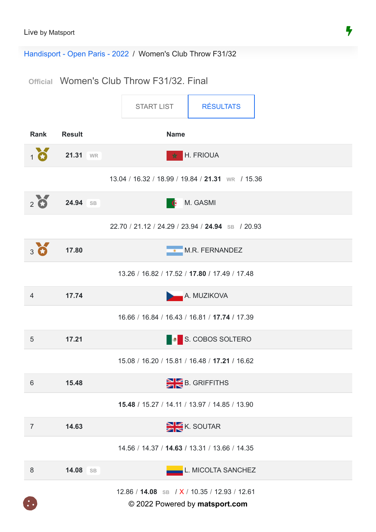$\mathbf{C}$ 

Handisport - Open Paris - 2022 / Women's Club Throw F31/32

**Official** Women's Club Throw F31/32. Final

<span id="page-8-0"></span>

|                |                    | <b>START LIST</b>                                | <b>RÉSULTATS</b>   |
|----------------|--------------------|--------------------------------------------------|--------------------|
| <b>Rank</b>    | <b>Result</b>      | <b>Name</b>                                      |                    |
| $1$ $\bullet$  | 21.31 WR           | H. FRIOUA<br>责                                   |                    |
|                |                    | 13.04 / 16.32 / 18.99 / 19.84 / 21.31 WR / 15.36 |                    |
| $2\bullet$     | 24.94 SB           | M. GASMI<br>- 6                                  |                    |
|                |                    | 22.70 / 21.12 / 24.29 / 23.94 / 24.94 SB / 20.93 |                    |
| $3$ $\bullet$  | 17.80              | M.R. FERNANDEZ<br>$\overline{\phantom{a}}$       |                    |
|                |                    | 13.26 / 16.82 / 17.52 / 17.80 / 17.49 / 17.48    |                    |
| $\overline{4}$ | 17.74              |                                                  | A. MUZIKOVA        |
|                |                    | 16.66 / 16.84 / 16.43 / 16.81 / 17.74 / 17.39    |                    |
| 5              | 17.21              |                                                  | S. COBOS SOLTERO   |
|                |                    | 15.08 / 16.20 / 15.81 / 16.48 / 17.21 / 16.62    |                    |
| 6              | 15.48              | B. GRIFFITHS                                     |                    |
|                |                    | 15.48 / 15.27 / 14.11 / 13.97 / 14.85 / 13.90    |                    |
| $\overline{7}$ | 14.63              |                                                  | K. SOUTAR          |
|                |                    | 14.56 / 14.37 / 14.63 / 13.31 / 13.66 / 14.35    |                    |
| $8\,$          | 14.08<br><b>SB</b> |                                                  | L. MICOLTA SANCHEZ |
|                |                    | 12.86 / 14.08 SB / X / 10.35 / 12.93 / 12.61     |                    |

© 2022 Powered by **matsport.com**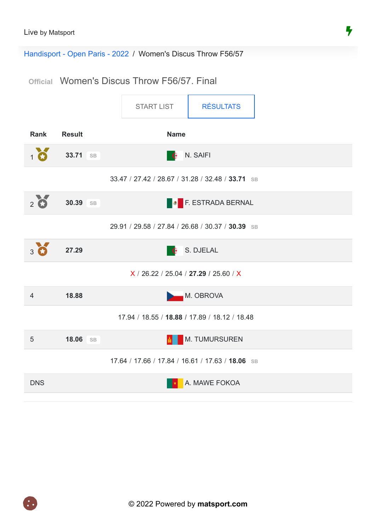Handisport - Open Paris - 2022 / Women's Discus Throw F56/57

### **Official** Women's Discus Throw F56/57. Final

<span id="page-9-0"></span>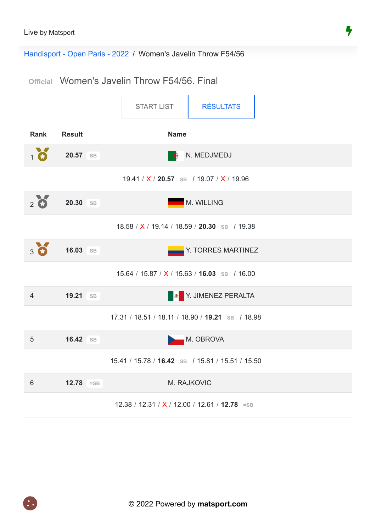Handisport - Open Paris - 2022 / Women's Javelin Throw F54/56

**Official** Women's Javelin Throw F54/56. Final

<span id="page-10-0"></span>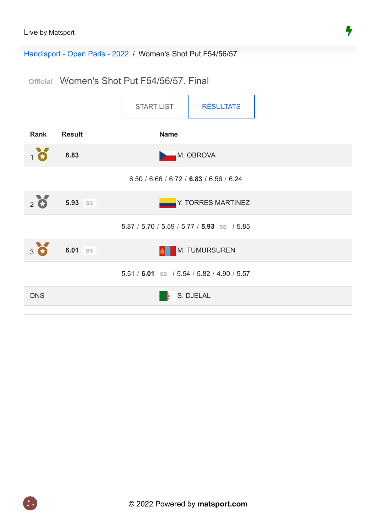Handisport - Open Paris - 2022 / Women's Shot Put F54/56/57

**Official** Women's Shot Put F54/56/57. Final

<span id="page-11-0"></span>